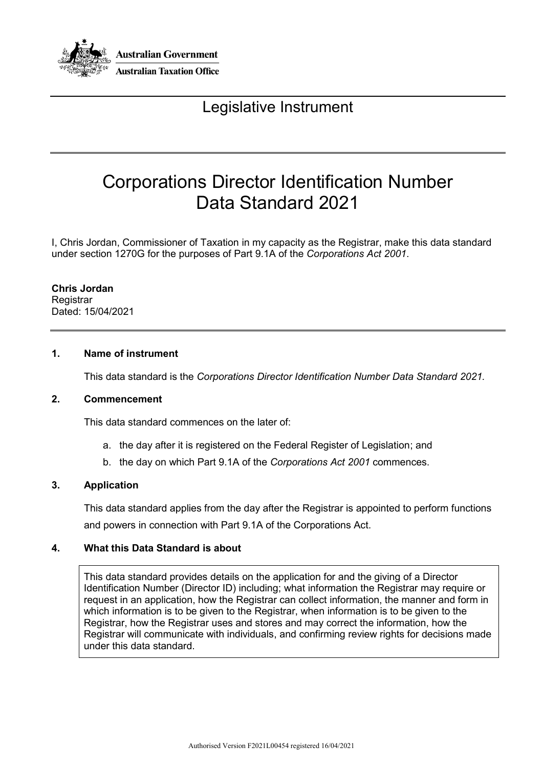

# Legislative Instrument

# Corporations Director Identification Number Data Standard 2021

I, Chris Jordan, Commissioner of Taxation in my capacity as the Registrar, make this data standard under section 1270G for the purposes of Part 9.1A of the *Corporations Act 2001*.

**Chris Jordan Registrar** Dated: 15/04/2021

# **1. Name of instrument**

This data standard is the *Corporations Director Identification Number Data Standard 2021.*

### **2. Commencement**

This data standard commences on the later of:

- a. the day after it is registered on the Federal Register of Legislation; and
- b. the day on which Part 9.1A of the *Corporations Act 2001* commences.

#### **3. Application**

This data standard applies from the day after the Registrar is appointed to perform functions and powers in connection with Part 9.1A of the Corporations Act.

#### **4. What this Data Standard is about**

This data standard provides details on the application for and the giving of a Director Identification Number (Director ID) including; what information the Registrar may require or request in an application, how the Registrar can collect information, the manner and form in which information is to be given to the Registrar, when information is to be given to the Registrar, how the Registrar uses and stores and may correct the information, how the Registrar will communicate with individuals, and confirming review rights for decisions made under this data standard.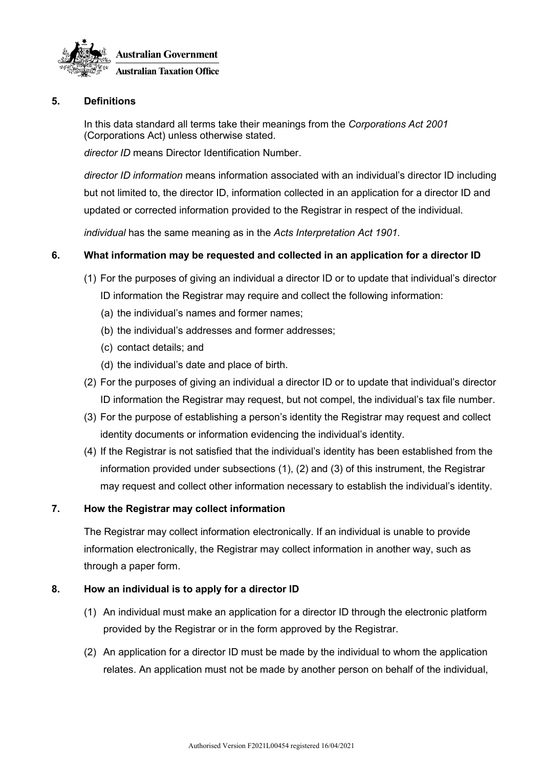

# **5. Definitions**

In this data standard all terms take their meanings from the *Corporations Act 2001* (Corporations Act) unless otherwise stated.

*director ID* means Director Identification Number.

*director ID information* means information associated with an individual's director ID including but not limited to, the director ID, information collected in an application for a director ID and updated or corrected information provided to the Registrar in respect of the individual.

*individual* has the same meaning as in the *Acts Interpretation Act 1901.*

# **6. What information may be requested and collected in an application for a director ID**

(1) For the purposes of giving an individual a director ID or to update that individual's director

ID information the Registrar may require and collect the following information:

- (a) the individual's names and former names;
- (b) the individual's addresses and former addresses;
- (c) contact details; and
- (d) the individual's date and place of birth.
- (2) For the purposes of giving an individual a director ID or to update that individual's director ID information the Registrar may request, but not compel, the individual's tax file number.
- (3) For the purpose of establishing a person's identity the Registrar may request and collect identity documents or information evidencing the individual's identity.
- (4) If the Registrar is not satisfied that the individual's identity has been established from the information provided under subsections (1), (2) and (3) of this instrument, the Registrar may request and collect other information necessary to establish the individual's identity.

# **7. How the Registrar may collect information**

The Registrar may collect information electronically. If an individual is unable to provide information electronically, the Registrar may collect information in another way, such as through a paper form.

# **8. How an individual is to apply for a director ID**

- (1) An individual must make an application for a director ID through the electronic platform provided by the Registrar or in the form approved by the Registrar.
- (2) An application for a director ID must be made by the individual to whom the application relates. An application must not be made by another person on behalf of the individual,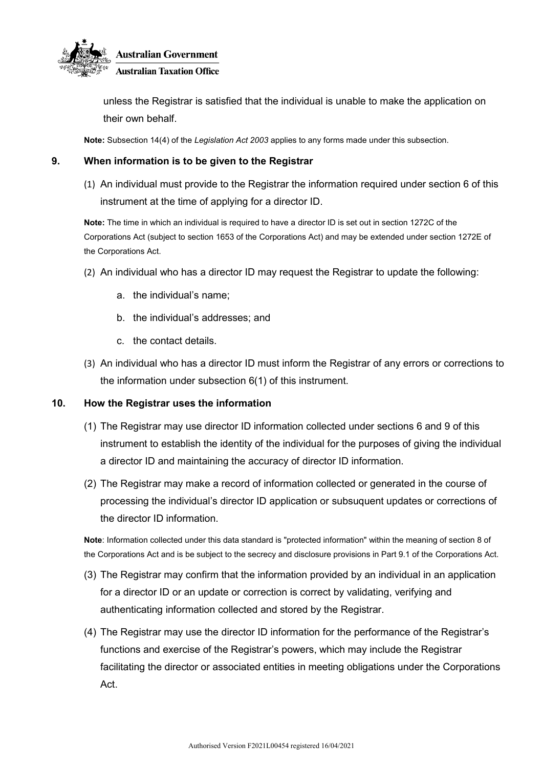

unless the Registrar is satisfied that the individual is unable to make the application on their own behalf.

**Note:** Subsection 14(4) of the *Legislation Act 2003* applies to any forms made under this subsection.

# **9. When information is to be given to the Registrar**

(1) An individual must provide to the Registrar the information required under section 6 of this instrument at the time of applying for a director ID.

**Note:** The time in which an individual is required to have a director ID is set out in section 1272C of the Corporations Act (subject to section 1653 of the Corporations Act) and may be extended under section 1272E of the Corporations Act.

- (2) An individual who has a director ID may request the Registrar to update the following:
	- a. the individual's name;
	- b. the individual's addresses; and
	- c. the contact details.
- (3) An individual who has a director ID must inform the Registrar of any errors or corrections to the information under subsection 6(1) of this instrument.

# **10. How the Registrar uses the information**

- (1) The Registrar may use director ID information collected under sections 6 and 9 of this instrument to establish the identity of the individual for the purposes of giving the individual a director ID and maintaining the accuracy of director ID information.
- (2) The Registrar may make a record of information collected or generated in the course of processing the individual's director ID application or subsuquent updates or corrections of the director ID information.

**Note**: Information collected under this data standard is "protected information" within the meaning of section 8 of the Corporations Act and is be subject to the secrecy and disclosure provisions in Part 9.1 of the Corporations Act.

- (3) The Registrar may confirm that the information provided by an individual in an application for a director ID or an update or correction is correct by validating, verifying and authenticating information collected and stored by the Registrar.
- (4) The Registrar may use the director ID information for the performance of the Registrar's functions and exercise of the Registrar's powers, which may include the Registrar facilitating the director or associated entities in meeting obligations under the Corporations Act.